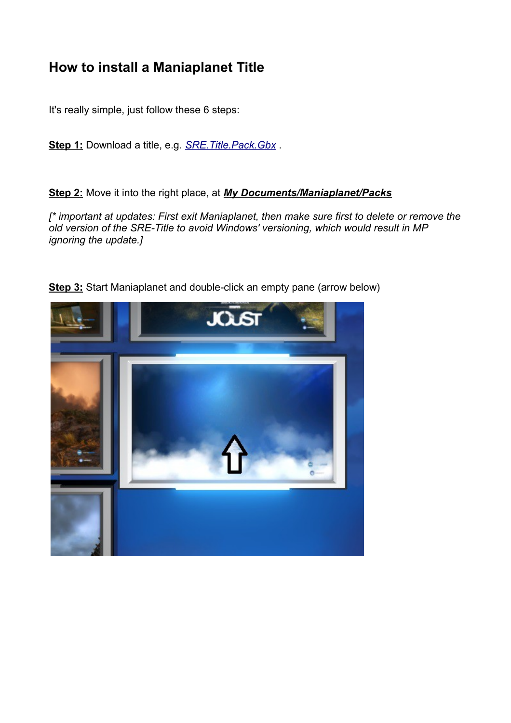## **How to install a Maniaplanet Title**

It's really simple, just follow these 6 steps:

**Step 1:** Download a title, e.g. *[SRE.Title.Pack.Gbx](http://cms.tm-nascar.com/title/SRE.Title.Pack.Gbx)* .

**Step 2:** Move it into the right place, at *My Documents/Maniaplanet/Packs*

*[\* important at updates: First exit Maniaplanet, then make sure first to delete or remove the old version of the SRE-Title to avoid Windows' versioning, which would result in MP ignoring the update.]*



**Step 3:** Start Maniaplanet and double-click an empty pane (arrow below)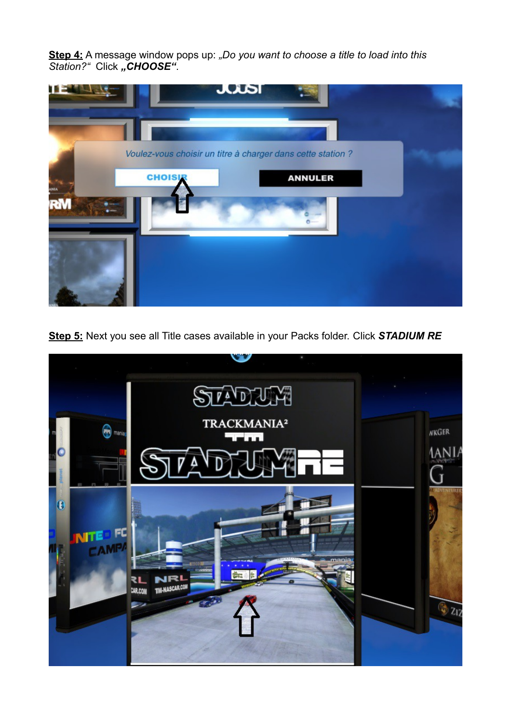**Step 4:** A message window pops up: *"Do you want to choose a title to load into this*  Station?" Click "CHOOSE".



**Step 5:** Next you see all Title cases available in your Packs folder. Click *STADIUM RE*